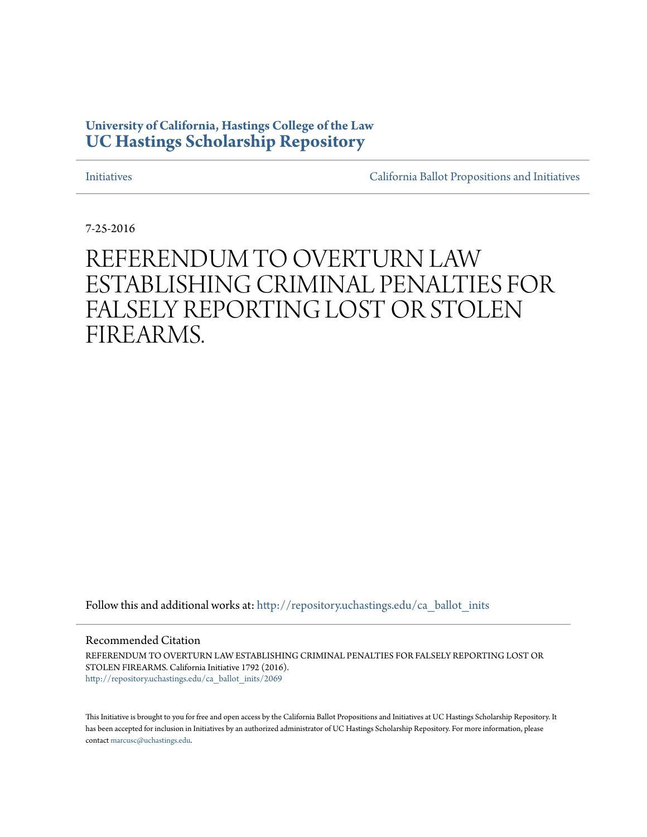### **University of California, Hastings College of the Law [UC Hastings Scholarship Repository](http://repository.uchastings.edu?utm_source=repository.uchastings.edu%2Fca_ballot_inits%2F2069&utm_medium=PDF&utm_campaign=PDFCoverPages)**

[Initiatives](http://repository.uchastings.edu/ca_ballot_inits?utm_source=repository.uchastings.edu%2Fca_ballot_inits%2F2069&utm_medium=PDF&utm_campaign=PDFCoverPages) [California Ballot Propositions and Initiatives](http://repository.uchastings.edu/ca_ballots?utm_source=repository.uchastings.edu%2Fca_ballot_inits%2F2069&utm_medium=PDF&utm_campaign=PDFCoverPages)

7-25-2016

## REFERENDUM TO OVERTURN LAW ESTABLISHING CRIMINAL PENALTIES FOR FALSELY REPORTING LOST OR STOLEN FIREARMS.

Follow this and additional works at: [http://repository.uchastings.edu/ca\\_ballot\\_inits](http://repository.uchastings.edu/ca_ballot_inits?utm_source=repository.uchastings.edu%2Fca_ballot_inits%2F2069&utm_medium=PDF&utm_campaign=PDFCoverPages)

Recommended Citation

REFERENDUM TO OVERTURN LAW ESTABLISHING CRIMINAL PENALTIES FOR FALSELY REPORTING LOST OR STOLEN FIREARMS. California Initiative 1792 (2016). [http://repository.uchastings.edu/ca\\_ballot\\_inits/2069](http://repository.uchastings.edu/ca_ballot_inits/2069?utm_source=repository.uchastings.edu%2Fca_ballot_inits%2F2069&utm_medium=PDF&utm_campaign=PDFCoverPages)

This Initiative is brought to you for free and open access by the California Ballot Propositions and Initiatives at UC Hastings Scholarship Repository. It has been accepted for inclusion in Initiatives by an authorized administrator of UC Hastings Scholarship Repository. For more information, please contact [marcusc@uchastings.edu](mailto:marcusc@uchastings.edu).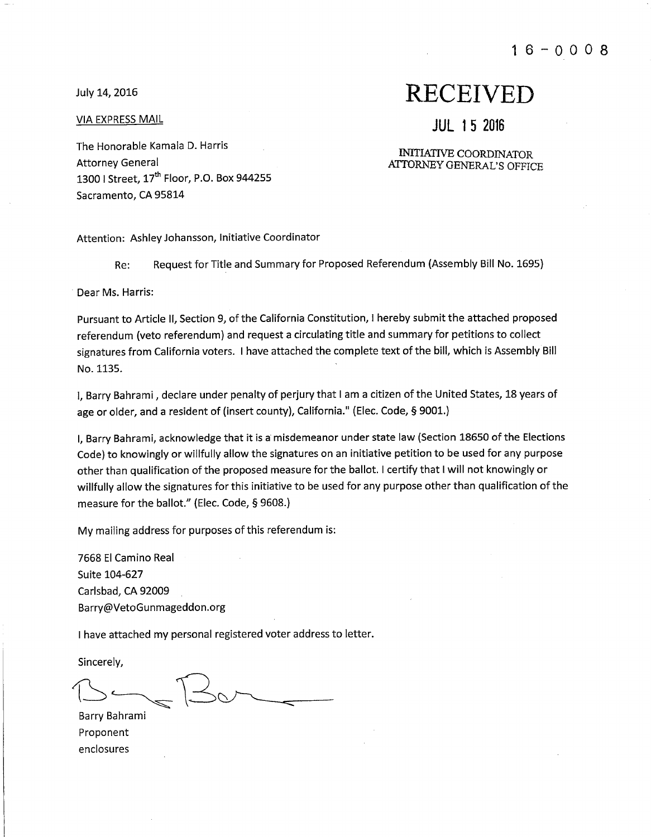$16 - 0008$ 

July 14, 2016

**VIA EXPRESS MAIL** 

## **RECEIVED**

**JUL 15 2016** 

#### **INITIATIVE COORDINATOR ATTORNEY GENERAL'S OFFICE**

The Honorable Kamala D. Harris **Attorney General** 1300 | Street, 17<sup>th</sup> Floor, P.O. Box 944255 Sacramento, CA 95814

Attention: Ashley Johansson, Initiative Coordinator

Request for Title and Summary for Proposed Referendum (Assembly Bill No. 1695) Re:

Dear Ms. Harris:

Pursuant to Article II, Section 9, of the California Constitution, I hereby submit the attached proposed referendum (veto referendum) and request a circulating title and summary for petitions to collect signatures from California voters. I have attached the complete text of the bill, which is Assembly Bill No. 1135.

I. Barry Bahrami, declare under penalty of perjury that I am a citizen of the United States, 18 years of age or older, and a resident of (insert county), California." (Elec. Code, § 9001.)

I, Barry Bahrami, acknowledge that it is a misdemeanor under state law (Section 18650 of the Elections Code) to knowingly or willfully allow the signatures on an initiative petition to be used for any purpose other than qualification of the proposed measure for the ballot. I certify that I will not knowingly or willfully allow the signatures for this initiative to be used for any purpose other than qualification of the measure for the ballot." (Elec. Code, § 9608.)

My mailing address for purposes of this referendum is:

7668 El Camino Real Suite 104-627 Carlsbad, CA 92009 Barry@VetoGunmageddon.org

I have attached my personal registered voter address to letter.

Sincerely,

Barry Bahrami Proponent enclosures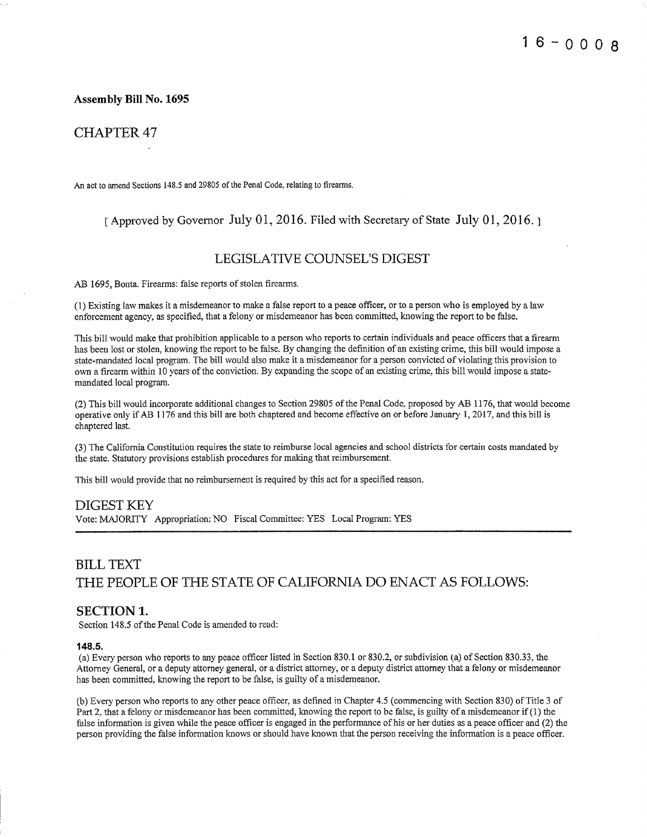#### **Assembly Bill No. 1695**

#### **CHAPTER 47**

An act to amend Sections 148.5 and 29805 of the Penal Code, relating to firearms.

#### [ Approved by Governor July 01, 2016. Filed with Secretary of State July 01, 2016.]

#### **LEGISLATIVE COUNSEL'S DIGEST**

AB 1695, Bonta. Firearms: false reports of stolen firearms.

(1) Existing law makes it a misdemeanor to make a false report to a peace officer, or to a person who is employed by a law enforcement agency, as specified, that a felony or misdemeanor has been committed, knowing the report to be false.

This bill would make that prohibition applicable to a person who reports to certain individuals and peace officers that a firearm has been lost or stolen, knowing the report to be false. By changing the definition of an existing crime, this bill would impose a state-mandated local program. The bill would also make it a misdemeanor for a person convicted of violating this provision to own a firearm within 10 years of the conviction. By expanding the scope of an existing crime, this bill would impose a statemandated local program.

(2) This bill would incorporate additional changes to Section 29805 of the Penal Code, proposed by AB 1176, that would become operative only if AB 1176 and this bill are both chaptered and become effective on or before January 1, 2017, and this bill is chaptered last.

(3) The California Constitution requires the state to reimburse local agencies and school districts for certain costs mandated by the state. Statutory provisions establish procedures for making that reimbursement.

This bill would provide that no reimbursement is required by this act for a specified reason.

#### **DIGEST KEY**

Vote: MAJORITY Appropriation: NO Fiscal Committee: YES Local Program: YES

### **BILL TEXT** THE PEOPLE OF THE STATE OF CALIFORNIA DO ENACT AS FOLLOWS:

#### **SECTION 1.**

Section 148.5 of the Penal Code is amended to read:

#### 148.5.

(a) Every person who reports to any peace officer listed in Section 830.1 or 830.2, or subdivision (a) of Section 830.33, the Attorney General, or a deputy attorney general, or a district attorney, or a deputy district attorney that a felony or misdemeanor has been committed, knowing the report to be false, is guilty of a misdemeanor.

(b) Every person who reports to any other peace officer, as defined in Chapter 4.5 (commencing with Section 830) of Title 3 of Part 2, that a felony or misdemeanor has been committed, knowing the report to be false, is guilty of a misdemeanor if (1) the false information is given while the peace officer is engaged in the performance of his or her duties as a peace officer and (2) the person providing the false information knows or should have known that the person receiving the information is a peace officer.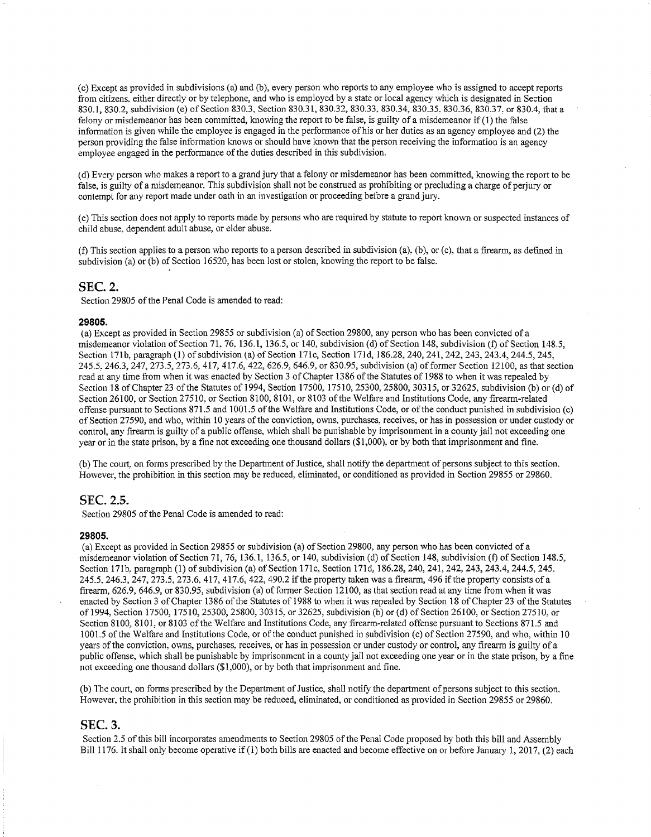(c) Except as provided in subdivisions (a) and (b), every person who reports to any employee who is assigned to accept reports from citizens, either directly or by telephone, and who is employed by a state or local agency which is designated in Section 830.1, 830.2, subdivision (e) of Section 830.3, Section 830.31, 830.32, 830.33, 830.34, 830.35, 830.36, 830.37, or 830.4, that a felony or misdemeanor has been committed, knowing the report to be false, is guilty of a misdemeanor if (1) the false information is given while the employee is engaged in the performance of his or her duties as an agency employee and (2) the person providing the false information knows or should have known that the person receiving the information is an agency employee engaged in the performance of the duties described in this subdivision.

(d) Every person who makes a report to a grand jury that a felony or misdemeanor has been committed, knowing the report to be false, is guilty of a misdemeanor. This subdivision shall not be construed as prohibiting or precluding a charge of perjury or contempt for any report made under oath in an investigation or proceeding before a grand jury.

(e) This section does not apply to reports made by persons who are required by statute to report known or suspected instances of child abuse, dependent adult abuse, or elder abuse.

(f) This section applies to a person who reports to a person described in subdivision (a), (b), or (c), that a firearm, as defined in subdivision (a) or (b) of Section 16520, has been lost or stolen, knowing the report to be false.

#### **SEC. 2.**

Section 29805 of the Penal Code is amended to read:

#### 29805.

(a) Except as provided in Section 29855 or subdivision (a) of Section 29800, any person who has been convicted of a misdemeanor violation of Section 71, 76, 136.1, 136.5, or 140, subdivision (d) of Section 148, subdivision (f) of Section 148.5. Section 171b, paragraph (1) of subdivision (a) of Section 171c, Section 171d, 186.28, 240, 241, 242, 243, 243, 244, 5, 245, 245.5, 246.3, 247, 273.5, 273.6, 417, 417.6, 422, 626.9, 646.9, or 830.95, subdivision (a) of former Section 12100, as that section read at any time from when it was enacted by Section 3 of Chapter 1386 of the Statutes of 1988 to when it was repealed by Section 18 of Chapter 23 of the Statutes of 1994, Section 17500, 17510, 25300, 25800, 30315, or 32625, subdivision (b) or (d) of Section 26100, or Section 27510, or Section 8100, 8101, or 8103 of the Welfare and Institutions Code, any firearm-related offense pursuant to Sections 871.5 and 1001.5 of the Welfare and Institutions Code, or of the conduct punished in subdivision (c) of Section 27590, and who, within 10 years of the conviction, owns, purchases, receives, or has in possession or under custody or control, any firearm is guilty of a public offense, which shall be punishable by imprisonment in a county jail not exceeding one year or in the state prison, by a fine not exceeding one thousand dollars (\$1,000), or by both that imprisonment and fine.

(b) The court, on forms prescribed by the Department of Justice, shall notify the department of persons subject to this section. However, the prohibition in this section may be reduced, eliminated, or conditioned as provided in Section 29855 or 29860.

#### SEC. 2.5.

Section 29805 of the Penal Code is amended to read:

#### 29805.

(a) Except as provided in Section 29855 or subdivision (a) of Section 29800, any person who has been convicted of a misdemeanor violation of Section 71, 76, 136.1, 136.5, or 140, subdivision (d) of Section 148, subdivision (f) of Section 148.5, Section 171b, paragraph (1) of subdivision (a) of Section 171c, Section 171d, 186.28, 240, 241, 242, 243, 243, 244.5, 245, 245.5, 246.3, 247, 273.5, 273.6, 417, 417.6, 422, 490.2 if the property taken was a firearm, 496 if the property consists of a firearm, 626.9, 646.9, or 830.95, subdivision (a) of former Section 12100, as that section read at any time from when it was enacted by Section 3 of Chapter 1386 of the Statutes of 1988 to when it was repealed by Section 18 of Chapter 23 of the Statutes of 1994, Section 17500, 17510, 25300, 25800, 30315, or 32625, subdivision (b) or (d) of Section 26100, or Section 27510, or Section 8100, 8101, or 8103 of the Welfare and Institutions Code, any firearm-related offense pursuant to Sections 871.5 and 1001.5 of the Welfare and Institutions Code, or of the conduct punished in subdivision (c) of Section 27590, and who, within 10 years of the conviction, owns, purchases, receives, or has in possession or under custody or control, any firearm is guilty of a public offense, which shall be punishable by imprisonment in a county jail not exceeding one year or in the state prison, by a fine not exceeding one thousand dollars (\$1,000), or by both that imprisonment and fine.

(b) The court, on forms prescribed by the Department of Justice, shall notify the department of persons subject to this section. However, the prohibition in this section may be reduced, eliminated, or conditioned as provided in Section 29855 or 29860.

#### **SEC. 3.**

Section 2.5 of this bill incorporates amendments to Section 29805 of the Penal Code proposed by both this bill and Assembly Bill 1176. It shall only become operative if (1) both bills are enacted and become effective on or before January 1, 2017, (2) each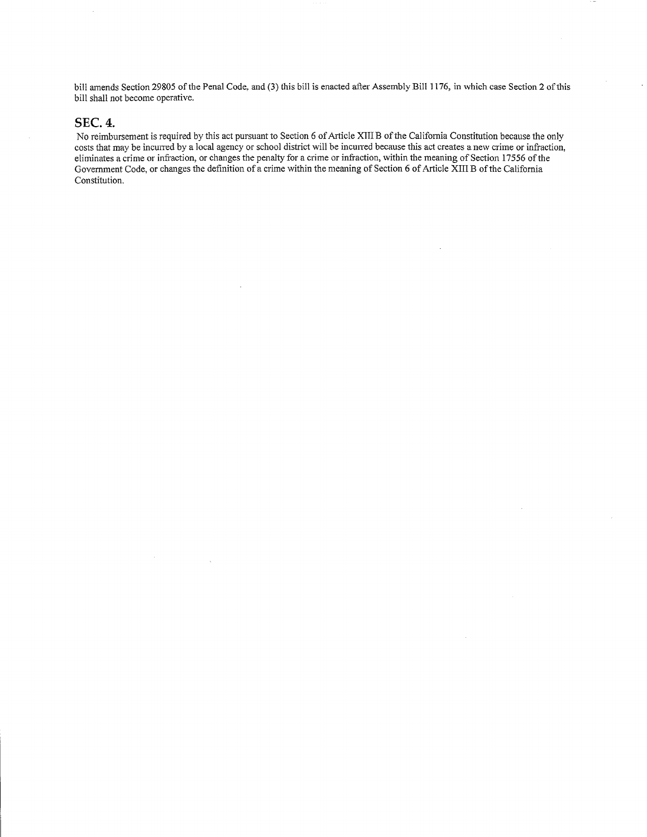bill amends Section 29805 of the Penal Code, and (3) this bill is enacted after Assembly Bill 1176, in which case Section 2 of this bill shall not become operative.

#### **SEC. 4.**

No reimbursement is required by this act pursuant to Section 6 of Article XIII B of the California Constitution because the only costs that may be incurred by a local agency or school district will be incurred because this act creates a new crime or infraction, eliminates a crime or infraction, or changes the penalty for a crime or infraction, within the meaning of Section 17556 of the Government Code, or changes the definition of a crime within the meaning of Section 6 of Article XIII B of the California Constitution.